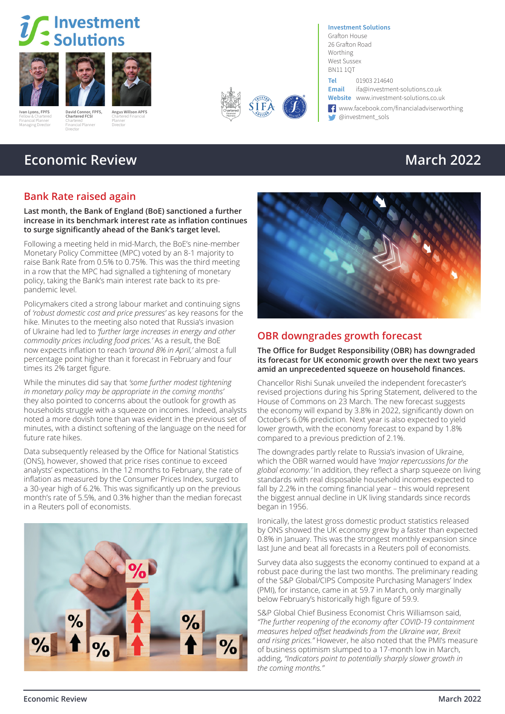# Investment Solutions





Fellow & Chartered Financial Planner Managing Director

**David Connor, FPFS,**  Financial Planner **Angus Willson APFS** Chartered Financial Planner Director











West Sussex BN11 1QT **Tel** 01903 214640

**Investment Solutions** Grafton House 26 Grafton Road Worthing

**Email** ifa@investment-solutions.co.uk **Website** www.investment-solutions.co.uk

← www.facebook.com/financialadviserworthing<br>← @investment\_sols **Ivan Lyons, FPFS** David Connor, FPFS, Angus Willson APFS<br>Felix Construction of Construction Charles Construction of the Construction of the Construction of the Construction of the Construction of the Construction of the C

## **Economic Review March 2022**

**Chartered FCSI** Chartered

Director

### **Bank Rate raised again**

**Last month, the Bank of England (BoE) sanctioned a further increase in its benchmark interest rate as inflation continues to surge significantly ahead of the Bank's target level.** 

Following a meeting held in mid-March, the BoE's nine-member Monetary Policy Committee (MPC) voted by an 8-1 majority to raise Bank Rate from 0.5% to 0.75%. This was the third meeting in a row that the MPC had signalled a tightening of monetary policy, taking the Bank's main interest rate back to its prepandemic level.

Policymakers cited a strong labour market and continuing signs of *'robust domestic cost and price pressures'* as key reasons for the hike. Minutes to the meeting also noted that Russia's invasion of Ukraine had led to *'further large increases in energy and other commodity prices including food prices.'* As a result, the BoE now expects inflation to reach *'around 8% in April,'* almost a full percentage point higher than it forecast in February and four times its 2% target figure.

While the minutes did say that *'some further modest tightening in monetary policy may be appropriate in the coming months'* they also pointed to concerns about the outlook for growth as households struggle with a squeeze on incomes. Indeed, analysts noted a more dovish tone than was evident in the previous set of minutes, with a distinct softening of the language on the need for future rate hikes.

Data subsequently released by the Office for National Statistics (ONS), however, showed that price rises continue to exceed analysts' expectations. In the 12 months to February, the rate of inflation as measured by the Consumer Prices Index, surged to a 30-year high of 6.2%. This was significantly up on the previous month's rate of 5.5%, and 0.3% higher than the median forecast in a Reuters poll of economists.





### **OBR downgrades growth forecast**

**The Office for Budget Responsibility (OBR) has downgraded its forecast for UK economic growth over the next two years amid an unprecedented squeeze on household finances.**

Chancellor Rishi Sunak unveiled the independent forecaster's revised projections during his Spring Statement, delivered to the House of Commons on 23 March. The new forecast suggests the economy will expand by 3.8% in 2022, significantly down on October's 6.0% prediction. Next year is also expected to yield lower growth, with the economy forecast to expand by 1.8% compared to a previous prediction of 2.1%.

The downgrades partly relate to Russia's invasion of Ukraine, which the OBR warned would have *'major repercussions for the global economy.'* In addition, they reflect a sharp squeeze on living standards with real disposable household incomes expected to fall by 2.2% in the coming financial year – this would represent the biggest annual decline in UK living standards since records began in 1956.

Ironically, the latest gross domestic product statistics released by ONS showed the UK economy grew by a faster than expected 0.8% in January. This was the strongest monthly expansion since last June and beat all forecasts in a Reuters poll of economists.

Survey data also suggests the economy continued to expand at a robust pace during the last two months. The preliminary reading of the S&P Global/CIPS Composite Purchasing Managers' Index (PMI), for instance, came in at 59.7 in March, only marginally below February's historically high figure of 59.9.

S&P Global Chief Business Economist Chris Williamson said, *"The further reopening of the economy after COVID-19 containment measures helped offset headwinds from the Ukraine war, Brexit and rising prices."* However, he also noted that the PMI's measure of business optimism slumped to a 17-month low in March, adding, *"Indicators point to potentially sharply slower growth in the coming months."*